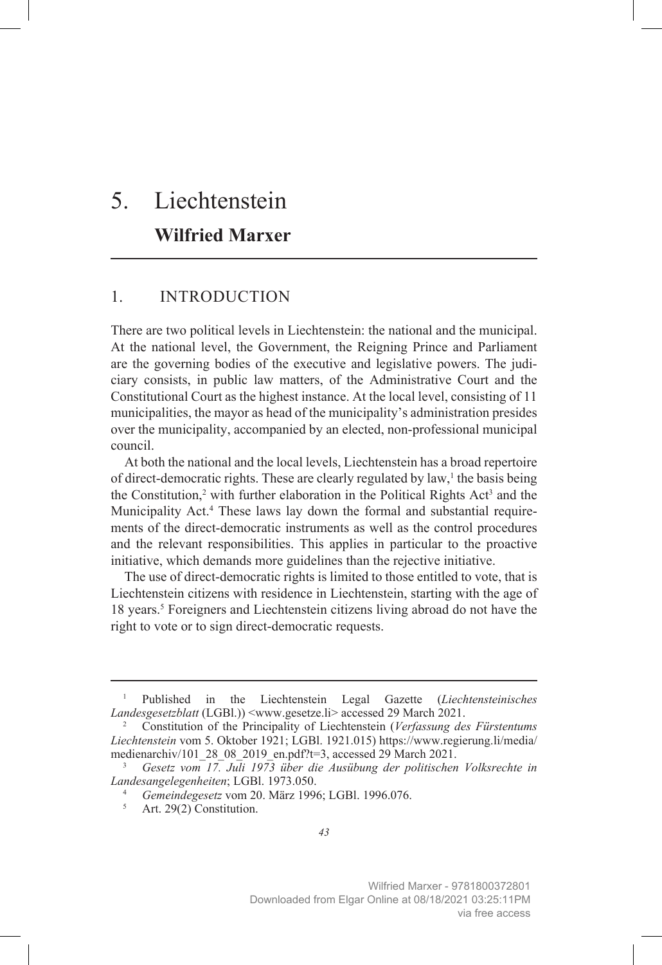# 5. Liechtenstein **Wilfried Marxer**

# 1. INTRODUCTION

There are two political levels in Liechtenstein: the national and the municipal. At the national level, the Government, the Reigning Prince and Parliament are the governing bodies of the executive and legislative powers. The judiciary consists, in public law matters, of the Administrative Court and the Constitutional Court as the highest instance. At the local level, consisting of 11 municipalities, the mayor as head of the municipality's administration presides over the municipality, accompanied by an elected, non-professional municipal council.

At both the national and the local levels, Liechtenstein has a broad repertoire of direct-democratic rights. These are clearly regulated by law,<sup>1</sup> the basis being the Constitution,<sup>2</sup> with further elaboration in the Political Rights Act<sup>3</sup> and the Municipality Act.4 These laws lay down the formal and substantial requirements of the direct-democratic instruments as well as the control procedures and the relevant responsibilities. This applies in particular to the proactive initiative, which demands more guidelines than the rejective initiative.

The use of direct-democratic rights is limited to those entitled to vote, that is Liechtenstein citizens with residence in Liechtenstein, starting with the age of 18 years.<sup>5</sup> Foreigners and Liechtenstein citizens living abroad do not have the right to vote or to sign direct-democratic requests.

<sup>1</sup> Published in the Liechtenstein Legal Gazette (*Liechtensteinisches Landesgesetzblatt* (LGBl.)) <www.gesetze.li> accessed 29 March 2021.

<sup>2</sup> Constitution of the Principality of Liechtenstein (*Verfassung des Fürstentums Liechtenstein* vom 5. Oktober 1921; LGBl. 1921.015) [https://www.regierung.li/media/](https://www.regierung.li/media/medienarchiv/101_28_08_2019_en.pdf?t=3) [medienarchiv/101\\_28\\_08\\_2019\\_en.pdf?t=3](https://www.regierung.li/media/medienarchiv/101_28_08_2019_en.pdf?t=3), accessed 29 March 2021.

<sup>3</sup> *Gesetz vom 17. Juli 1973 über die Ausübung der politischen Volksrechte in Landesangelegenheiten*; LGBl. 1973.050.

<sup>&</sup>lt;sup>4</sup> *Gemeindegesetz* vom 20. März 1996; LGBl. 1996.076.<br><sup>5</sup> Art 29(2) Constitution

Art. 29(2) Constitution.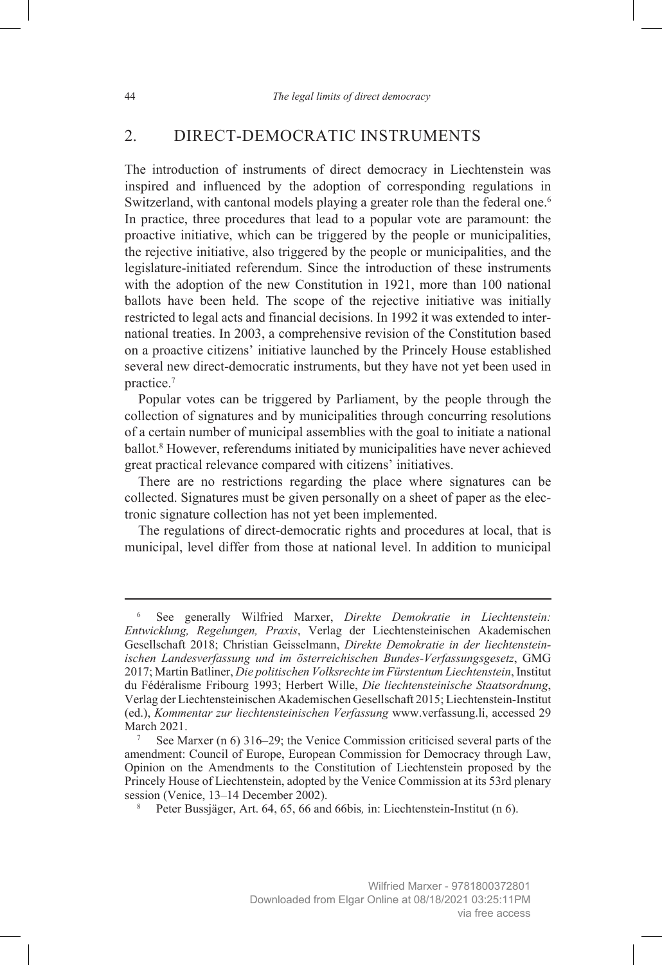## 2. DIRECT-DEMOCRATIC INSTRUMENTS

The introduction of instruments of direct democracy in Liechtenstein was inspired and influenced by the adoption of corresponding regulations in Switzerland, with cantonal models playing a greater role than the federal one.<sup>6</sup> In practice, three procedures that lead to a popular vote are paramount: the proactive initiative, which can be triggered by the people or municipalities, the rejective initiative, also triggered by the people or municipalities, and the legislature-initiated referendum. Since the introduction of these instruments with the adoption of the new Constitution in 1921, more than 100 national ballots have been held. The scope of the rejective initiative was initially restricted to legal acts and financial decisions. In 1992 it was extended to international treaties. In 2003, a comprehensive revision of the Constitution based on a proactive citizens' initiative launched by the Princely House established several new direct-democratic instruments, but they have not yet been used in practice.7

Popular votes can be triggered by Parliament, by the people through the collection of signatures and by municipalities through concurring resolutions of a certain number of municipal assemblies with the goal to initiate a national ballot.8 However, referendums initiated by municipalities have never achieved great practical relevance compared with citizens' initiatives.

There are no restrictions regarding the place where signatures can be collected. Signatures must be given personally on a sheet of paper as the electronic signature collection has not yet been implemented.

The regulations of direct-democratic rights and procedures at local, that is municipal, level differ from those at national level. In addition to municipal

<sup>6</sup> See generally Wilfried Marxer, *Direkte Demokratie in Liechtenstein: Entwicklung, Regelungen, Praxis*, Verlag der Liechtensteinischen Akademischen Gesellschaft 2018; Christian Geisselmann, *Direkte Demokratie in der liechtensteinischen Landesverfassung und im österreichischen Bundes-Verfassungsgesetz*, GMG 2017; Martin Batliner, *Die politischen Volksrechte im Fürstentum Liechtenstein*, Institut du Fédéralisme Fribourg 1993; Herbert Wille, *Die liechtensteinische Staatsordnung*, Verlag der Liechtensteinischen Akademischen Gesellschaft 2015; Liechtenstein-Institut (ed.), *Kommentar zur liechtensteinischen Verfassung* [www.verfassung.li,](http://www.verfassung.li) accessed 29 March 2021.

See Marxer (n 6) 316–29; the Venice Commission criticised several parts of the amendment: Council of Europe, European Commission for Democracy through Law, Opinion on the Amendments to the Constitution of Liechtenstein proposed by the Princely House of Liechtenstein, adopted by the Venice Commission at its 53rd plenary session (Venice, 13–14 December 2002).

<sup>8</sup> Peter Bussjäger, Art. 64, 65, 66 and 66bis*,* in: Liechtenstein-Institut (n 6).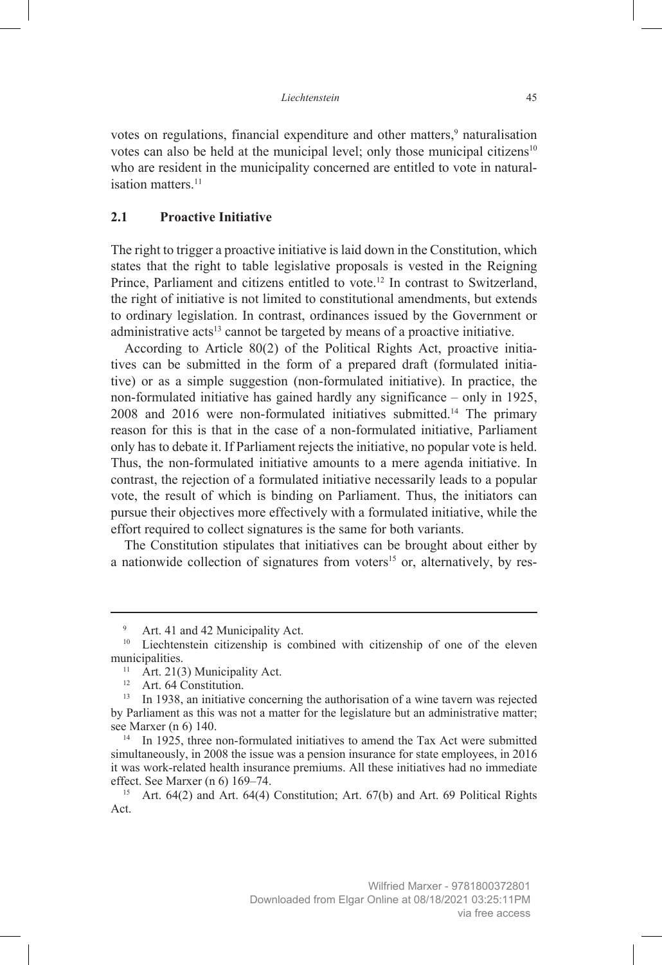votes on regulations, financial expenditure and other matters,<sup>9</sup> naturalisation votes can also be held at the municipal level; only those municipal citizens<sup>10</sup> who are resident in the municipality concerned are entitled to vote in naturalisation matters.<sup>11</sup>

## **2.1 Proactive Initiative**

The right to trigger a proactive initiative is laid down in the Constitution, which states that the right to table legislative proposals is vested in the Reigning Prince, Parliament and citizens entitled to vote.<sup>12</sup> In contrast to Switzerland, the right of initiative is not limited to constitutional amendments, but extends to ordinary legislation. In contrast, ordinances issued by the Government or administrative acts<sup>13</sup> cannot be targeted by means of a proactive initiative.

According to Article 80(2) of the Political Rights Act, proactive initiatives can be submitted in the form of a prepared draft (formulated initiative) or as a simple suggestion (non-formulated initiative). In practice, the non-formulated initiative has gained hardly any significance – only in 1925, 2008 and 2016 were non-formulated initiatives submitted.14 The primary reason for this is that in the case of a non-formulated initiative, Parliament only has to debate it. If Parliament rejects the initiative, no popular vote is held. Thus, the non-formulated initiative amounts to a mere agenda initiative. In contrast, the rejection of a formulated initiative necessarily leads to a popular vote, the result of which is binding on Parliament. Thus, the initiators can pursue their objectives more effectively with a formulated initiative, while the effort required to collect signatures is the same for both variants.

The Constitution stipulates that initiatives can be brought about either by a nationwide collection of signatures from voters<sup>15</sup> or, alternatively, by res-

Art. 41 and 42 Municipality Act.

<sup>&</sup>lt;sup>10</sup> Liechtenstein citizenship is combined with citizenship of one of the eleven municipalities.<br>
<sup>11</sup> Art. 21(3) Municipality Act.<br>
<sup>12</sup> Art. 64 Constitution

Art. 64 Constitution.

<sup>&</sup>lt;sup>13</sup> In 1938, an initiative concerning the authorisation of a wine tavern was rejected by Parliament as this was not a matter for the legislature but an administrative matter; see Marxer (n 6) 140.

In 1925, three non-formulated initiatives to amend the Tax Act were submitted simultaneously, in 2008 the issue was a pension insurance for state employees, in 2016 it was work-related health insurance premiums. All these initiatives had no immediate effect. See Marxer (n 6) 169–74.

<sup>&</sup>lt;sup>15</sup> Art.  $64(2)$  and Art.  $64(4)$  Constitution; Art.  $67(b)$  and Art. 69 Political Rights Act.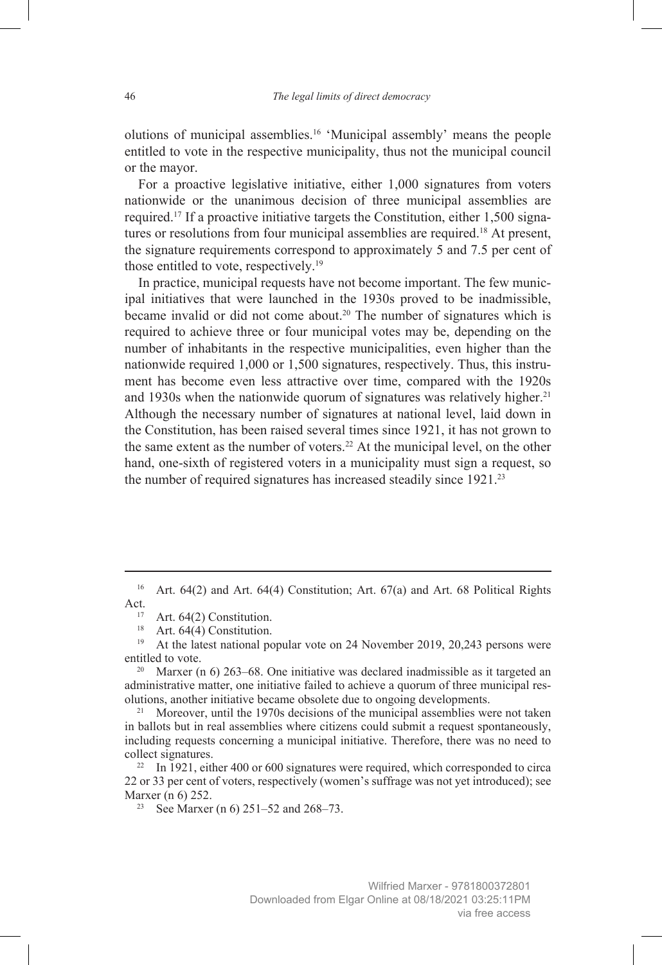olutions of municipal assemblies.16 'Municipal assembly' means the people entitled to vote in the respective municipality, thus not the municipal council or the mayor.

For a proactive legislative initiative, either 1,000 signatures from voters nationwide or the unanimous decision of three municipal assemblies are required.17 If a proactive initiative targets the Constitution, either 1,500 signatures or resolutions from four municipal assemblies are required.<sup>18</sup> At present, the signature requirements correspond to approximately 5 and 7.5 per cent of those entitled to vote, respectively.<sup>19</sup>

In practice, municipal requests have not become important. The few municipal initiatives that were launched in the 1930s proved to be inadmissible, became invalid or did not come about.20 The number of signatures which is required to achieve three or four municipal votes may be, depending on the number of inhabitants in the respective municipalities, even higher than the nationwide required 1,000 or 1,500 signatures, respectively. Thus, this instrument has become even less attractive over time, compared with the 1920s and 1930s when the nationwide quorum of signatures was relatively higher.<sup>21</sup> Although the necessary number of signatures at national level, laid down in the Constitution, has been raised several times since 1921, it has not grown to the same extent as the number of voters.<sup>22</sup> At the municipal level, on the other hand, one-sixth of registered voters in a municipality must sign a request, so the number of required signatures has increased steadily since  $1921$ <sup>23</sup>

<sup>&</sup>lt;sup>16</sup> Art. 64(2) and Art. 64(4) Constitution; Art. 67(a) and Art. 68 Political Rights Act.

Art. 64(2) Constitution.

<sup>&</sup>lt;sup>18</sup> Art. 64(4) Constitution.

<sup>&</sup>lt;sup>19</sup> At the latest national popular vote on 24 November 2019, 20,243 persons were entitled to vote.

Marxer (n  $6$ ) 263–68. One initiative was declared inadmissible as it targeted an administrative matter, one initiative failed to achieve a quorum of three municipal resolutions, another initiative became obsolete due to ongoing developments.

<sup>&</sup>lt;sup>21</sup> Moreover, until the 1970s decisions of the municipal assemblies were not taken in ballots but in real assemblies where citizens could submit a request spontaneously, including requests concerning a municipal initiative. Therefore, there was no need to collect signatures.

<sup>&</sup>lt;sup>22</sup> In 1921, either 400 or 600 signatures were required, which corresponded to circa 22 or 33 per cent of voters, respectively (women's suffrage was not yet introduced); see Marxer (n 6) 252.<br><sup>23</sup> See Marxer (n 6) 251–52 and 268–73.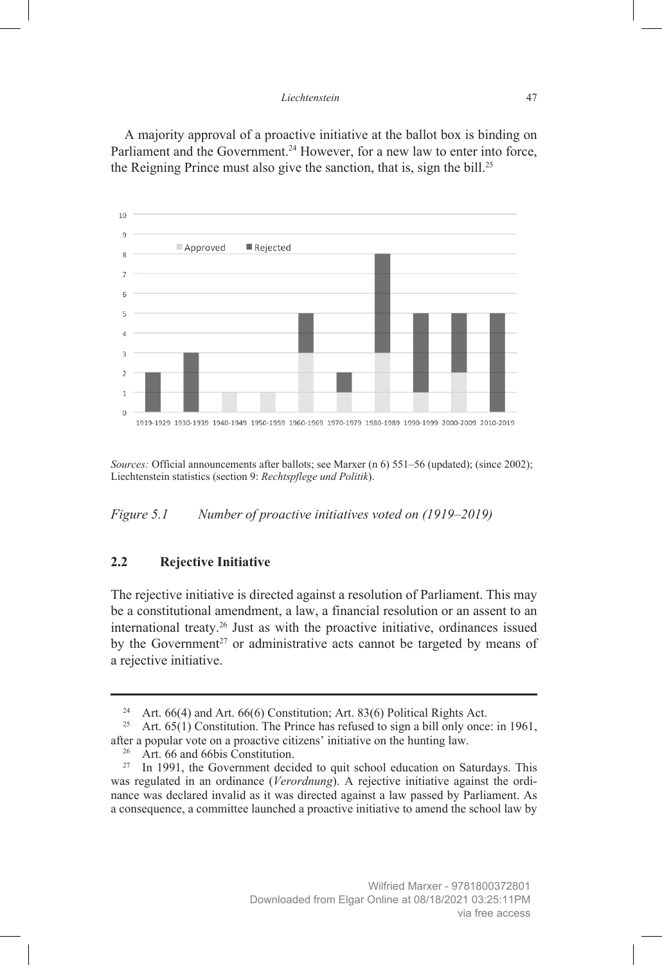#### *Liechtenstein* 47

A majority approval of a proactive initiative at the ballot box is binding on Parliament and the Government.<sup>24</sup> However, for a new law to enter into force, the Reigning Prince must also give the sanction, that is, sign the bill.25



*Sources:* Official announcements after ballots; see Marxer (n 6) 551–56 (updated); (since 2002); Liechtenstein statistics (section 9: *Rechtspflege und Politik*).

*Figure 5.1 Number of proactive initiatives voted on (1919–2019)*

## **2.2 Rejective Initiative**

The rejective initiative is directed against a resolution of Parliament. This may be a constitutional amendment, a law, a financial resolution or an assent to an international treaty.26 Just as with the proactive initiative, ordinances issued by the Government<sup>27</sup> or administrative acts cannot be targeted by means of a rejective initiative.

<sup>&</sup>lt;sup>24</sup> Art. 66(4) and Art. 66(6) Constitution; Art. 83(6) Political Rights Act.<br><sup>25</sup> Art. 65(1) Constitution. The Prince has refused to sign a bill only once

Art. 65(1) Constitution. The Prince has refused to sign a bill only once: in 1961, after a popular vote on a proactive citizens' initiative on the hunting law.

<sup>&</sup>lt;sup>26</sup> Art. 66 and 66bis Constitution.

<sup>&</sup>lt;sup>27</sup> In 1991, the Government decided to quit school education on Saturdays. This was regulated in an ordinance (*Verordnung*). A rejective initiative against the ordinance was declared invalid as it was directed against a law passed by Parliament. As a consequence, a committee launched a proactive initiative to amend the school law by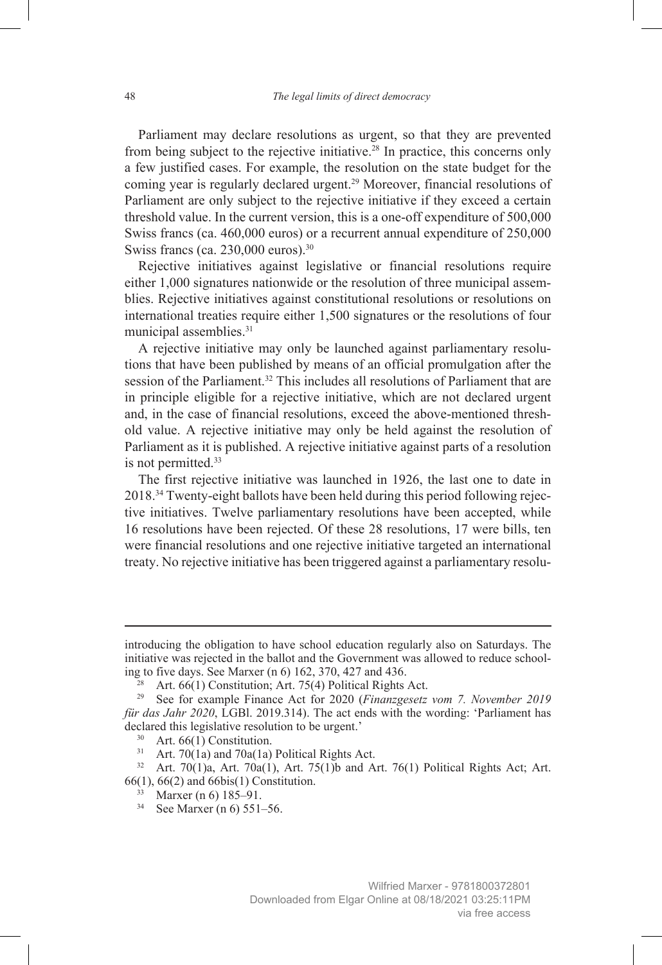Parliament may declare resolutions as urgent, so that they are prevented from being subject to the rejective initiative.28 In practice, this concerns only a few justified cases. For example, the resolution on the state budget for the coming year is regularly declared urgent.29 Moreover, financial resolutions of Parliament are only subject to the rejective initiative if they exceed a certain threshold value. In the current version, this is a one-off expenditure of 500,000 Swiss francs (ca. 460,000 euros) or a recurrent annual expenditure of 250,000 Swiss francs (ca. 230,000 euros).<sup>30</sup>

Rejective initiatives against legislative or financial resolutions require either 1,000 signatures nationwide or the resolution of three municipal assemblies. Rejective initiatives against constitutional resolutions or resolutions on international treaties require either 1,500 signatures or the resolutions of four municipal assemblies.<sup>31</sup>

A rejective initiative may only be launched against parliamentary resolutions that have been published by means of an official promulgation after the session of the Parliament.<sup>32</sup> This includes all resolutions of Parliament that are in principle eligible for a rejective initiative, which are not declared urgent and, in the case of financial resolutions, exceed the above-mentioned threshold value. A rejective initiative may only be held against the resolution of Parliament as it is published. A rejective initiative against parts of a resolution is not permitted.<sup>33</sup>

The first rejective initiative was launched in 1926, the last one to date in 2018.34 Twenty-eight ballots have been held during this period following rejective initiatives. Twelve parliamentary resolutions have been accepted, while 16 resolutions have been rejected. Of these 28 resolutions, 17 were bills, ten were financial resolutions and one rejective initiative targeted an international treaty. No rejective initiative has been triggered against a parliamentary resolu-

introducing the obligation to have school education regularly also on Saturdays. The initiative was rejected in the ballot and the Government was allowed to reduce schooling to five days. See Marxer (n 6) 162, 370, 427 and 436.

 $28$  Art. 66(1) Constitution; Art. 75(4) Political Rights Act.

<sup>29</sup> See for example Finance Act for 2020 (*Finanzgesetz vom 7. November 2019 für das Jahr 2020*, LGBl. 2019.314). The act ends with the wording: 'Parliament has declared this legislative resolution to be urgent.'

<sup>&</sup>lt;sup>30</sup> Art. 66(1) Constitution.

 $31$  Art. 70(1a) and 70a(1a) Political Rights Act.

<sup>&</sup>lt;sup>32</sup> Art. 70(1)a, Art. 70a(1), Art. 75(1)b and Art. 76(1) Political Rights Act; Art. 66(1), 66(2) and 66bis(1) Constitution.

<sup>33</sup> Marxer (n 6) 185–91.

<sup>34</sup> See Marxer (n 6) 551–56.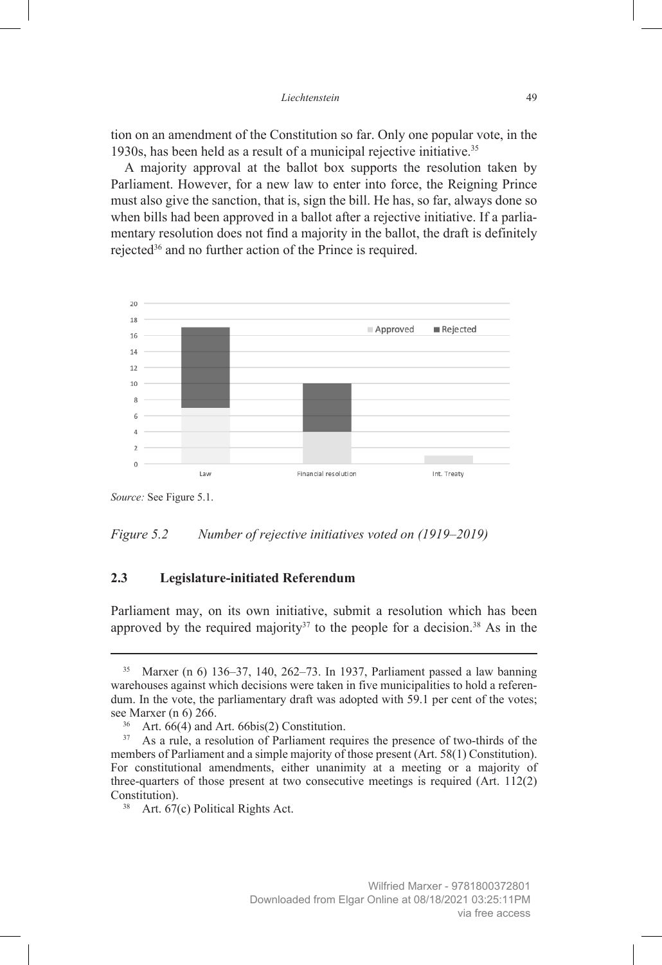tion on an amendment of the Constitution so far. Only one popular vote, in the 1930s, has been held as a result of a municipal rejective initiative.35

A majority approval at the ballot box supports the resolution taken by Parliament. However, for a new law to enter into force, the Reigning Prince must also give the sanction, that is, sign the bill. He has, so far, always done so when bills had been approved in a ballot after a rejective initiative. If a parliamentary resolution does not find a majority in the ballot, the draft is definitely rejected36 and no further action of the Prince is required.



*Source:* See Figure 5.1.



#### **2.3 Legislature-initiated Referendum**

Parliament may, on its own initiative, submit a resolution which has been approved by the required majority<sup>37</sup> to the people for a decision.<sup>38</sup> As in the

<sup>35</sup> Marxer (n 6) 136–37, 140, 262–73. In 1937, Parliament passed a law banning warehouses against which decisions were taken in five municipalities to hold a referendum. In the vote, the parliamentary draft was adopted with 59.1 per cent of the votes; see Marxer (n 6) 266.

<sup>&</sup>lt;sup>36</sup> Art. 66(4) and Art. 66bis(2) Constitution.<sup>37</sup> As a rule a resolution of Parliament requ

As a rule, a resolution of Parliament requires the presence of two-thirds of the members of Parliament and a simple majority of those present (Art. 58(1) Constitution). For constitutional amendments, either unanimity at a meeting or a majority of three-quarters of those present at two consecutive meetings is required (Art. 112(2) Constitution).

<sup>&</sup>lt;sup>38</sup> Art. 67(c) Political Rights Act.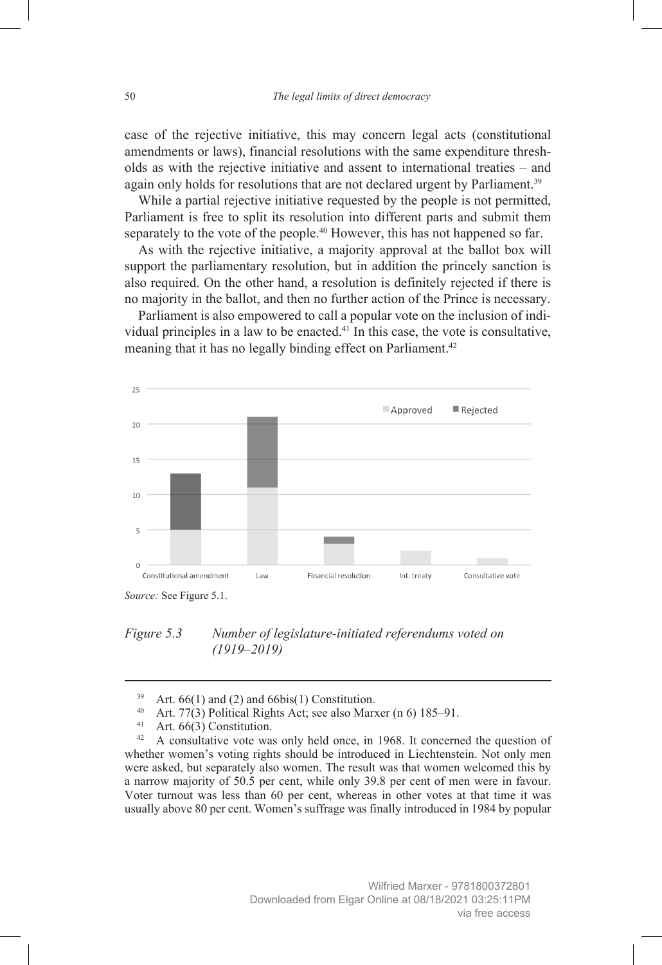case of the rejective initiative, this may concern legal acts (constitutional amendments or laws), financial resolutions with the same expenditure thresholds as with the rejective initiative and assent to international treaties – and again only holds for resolutions that are not declared urgent by Parliament.<sup>39</sup>

While a partial rejective initiative requested by the people is not permitted, Parliament is free to split its resolution into different parts and submit them separately to the vote of the people.<sup>40</sup> However, this has not happened so far.

As with the rejective initiative, a majority approval at the ballot box will support the parliamentary resolution, but in addition the princely sanction is also required. On the other hand, a resolution is definitely rejected if there is no majority in the ballot, and then no further action of the Prince is necessary.

Parliament is also empowered to call a popular vote on the inclusion of individual principles in a law to be enacted.41 In this case, the vote is consultative, meaning that it has no legally binding effect on Parliament.<sup>42</sup>



*Figure 5.3 Number of legislature-initiated referendums voted on (1919–2019)*

<sup>&</sup>lt;sup>39</sup> Art.  $66(1)$  and (2) and  $66bis(1)$  Constitution.

<sup>&</sup>lt;sup>40</sup> Art. 77(3) Political Rights Act; see also Marxer (n 6) 185–91.<br><sup>41</sup> Art. 66(3) Constitution

<sup>&</sup>lt;sup>41</sup> Art. 66(3) Constitution.<br><sup>42</sup> A consultative vote wa

A consultative vote was only held once, in 1968. It concerned the question of whether women's voting rights should be introduced in Liechtenstein. Not only men were asked, but separately also women. The result was that women welcomed this by a narrow majority of 50.5 per cent, while only 39.8 per cent of men were in favour. Voter turnout was less than 60 per cent, whereas in other votes at that time it was usually above 80 per cent. Women's suffrage was finally introduced in 1984 by popular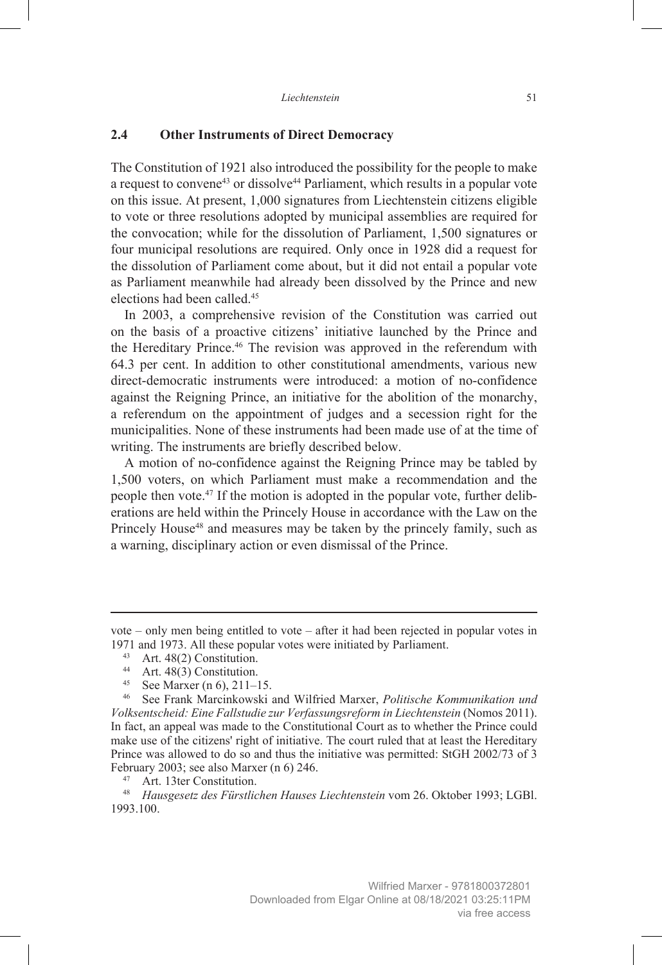#### **2.4 Other Instruments of Direct Democracy**

The Constitution of 1921 also introduced the possibility for the people to make a request to convene<sup>43</sup> or dissolve<sup>44</sup> Parliament, which results in a popular vote on this issue. At present, 1,000 signatures from Liechtenstein citizens eligible to vote or three resolutions adopted by municipal assemblies are required for the convocation; while for the dissolution of Parliament, 1,500 signatures or four municipal resolutions are required. Only once in 1928 did a request for the dissolution of Parliament come about, but it did not entail a popular vote as Parliament meanwhile had already been dissolved by the Prince and new elections had been called.45

In 2003, a comprehensive revision of the Constitution was carried out on the basis of a proactive citizens' initiative launched by the Prince and the Hereditary Prince.<sup>46</sup> The revision was approved in the referendum with 64.3 per cent. In addition to other constitutional amendments, various new direct-democratic instruments were introduced: a motion of no-confidence against the Reigning Prince, an initiative for the abolition of the monarchy, a referendum on the appointment of judges and a secession right for the municipalities. None of these instruments had been made use of at the time of writing. The instruments are briefly described below.

A motion of no-confidence against the Reigning Prince may be tabled by 1,500 voters, on which Parliament must make a recommendation and the people then vote.<sup>47</sup> If the motion is adopted in the popular vote, further deliberations are held within the Princely House in accordance with the Law on the Princely House<sup>48</sup> and measures may be taken by the princely family, such as a warning, disciplinary action or even dismissal of the Prince.

vote – only men being entitled to vote – after it had been rejected in popular votes in 1971 and 1973. All these popular votes were initiated by Parliament.

<sup>43</sup> Art. 48(2) Constitution.

<sup>44</sup> Art.  $48(3)$  Constitution.

<sup>&</sup>lt;sup>45</sup> See Marxer (n 6), 211–15.<br><sup>46</sup> See Frank Marcinkowski

<sup>46</sup> See Frank Marcinkowski and Wilfried Marxer, *Politische Kommunikation und Volksentscheid: Eine Fallstudie zur Verfassungsreform in Liechtenstein* (Nomos 2011). In fact, an appeal was made to the Constitutional Court as to whether the Prince could make use of the citizens' right of initiative. The court ruled that at least the Hereditary Prince was allowed to do so and thus the initiative was permitted: StGH 2002/73 of 3 February 2003; see also Marxer (n 6) 246.

Art. 13ter Constitution.

<sup>48</sup> *Hausgesetz des Fürstlichen Hauses Liechtenstein* vom 26. Oktober 1993; LGBl. 1993.100.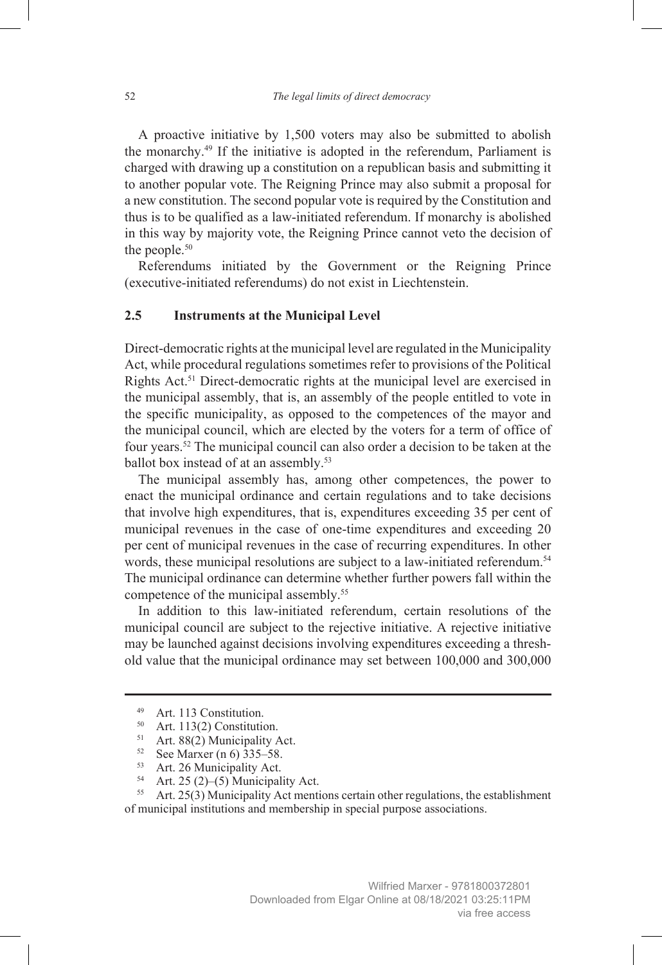A proactive initiative by 1,500 voters may also be submitted to abolish the monarchy.49 If the initiative is adopted in the referendum, Parliament is charged with drawing up a constitution on a republican basis and submitting it to another popular vote. The Reigning Prince may also submit a proposal for a new constitution. The second popular vote is required by the Constitution and thus is to be qualified as a law-initiated referendum. If monarchy is abolished in this way by majority vote, the Reigning Prince cannot veto the decision of the people. $50$ 

Referendums initiated by the Government or the Reigning Prince (executive-initiated referendums) do not exist in Liechtenstein.

## **2.5 Instruments at the Municipal Level**

Direct-democratic rights at the municipal level are regulated in the Municipality Act, while procedural regulations sometimes refer to provisions of the Political Rights Act.<sup>51</sup> Direct-democratic rights at the municipal level are exercised in the municipal assembly, that is, an assembly of the people entitled to vote in the specific municipality, as opposed to the competences of the mayor and the municipal council, which are elected by the voters for a term of office of four years.52 The municipal council can also order a decision to be taken at the ballot box instead of at an assembly.<sup>53</sup>

The municipal assembly has, among other competences, the power to enact the municipal ordinance and certain regulations and to take decisions that involve high expenditures, that is, expenditures exceeding 35 per cent of municipal revenues in the case of one-time expenditures and exceeding 20 per cent of municipal revenues in the case of recurring expenditures. In other words, these municipal resolutions are subject to a law-initiated referendum.<sup>54</sup> The municipal ordinance can determine whether further powers fall within the competence of the municipal assembly.<sup>55</sup>

In addition to this law-initiated referendum, certain resolutions of the municipal council are subject to the rejective initiative. A rejective initiative may be launched against decisions involving expenditures exceeding a threshold value that the municipal ordinance may set between 100,000 and 300,000

<sup>&</sup>lt;sup>49</sup> Art. 113 Constitution.<br> $50 \text{ Art } 113(2)$  Constitution

Art. 113(2) Constitution.

<sup>&</sup>lt;sup>51</sup> Art. 88(2) Municipality Act.

<sup>52</sup> See Marxer (n 6) 335–58.

<sup>53</sup> Art. 26 Municipality Act.

<sup>54</sup> Art. 25 (2)–(5) Municipality Act.

 $55$  Art. 25(3) Municipality Act mentions certain other regulations, the establishment of municipal institutions and membership in special purpose associations.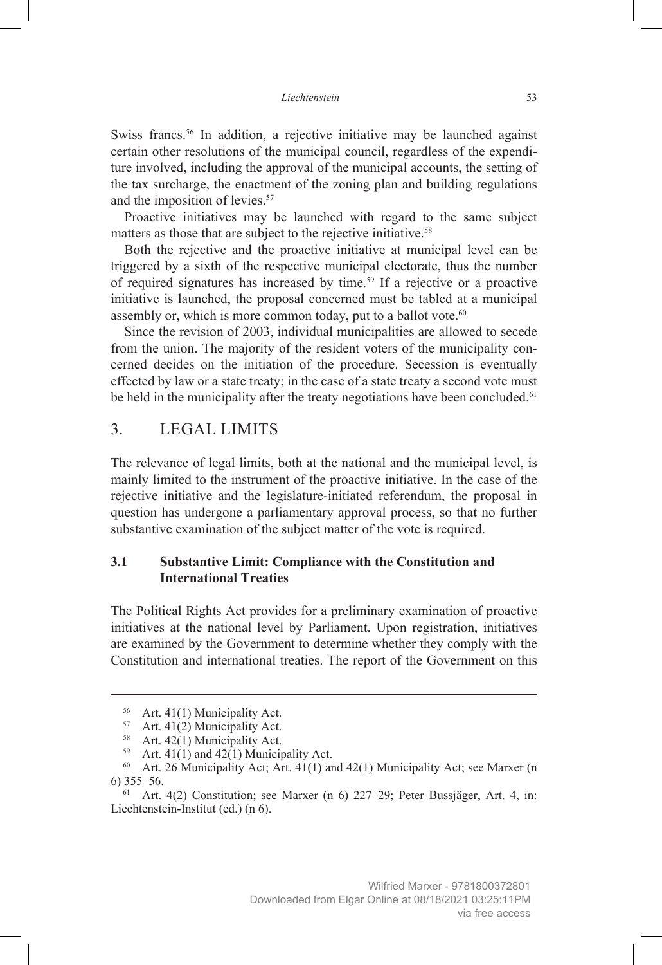Swiss francs.<sup>56</sup> In addition, a rejective initiative may be launched against certain other resolutions of the municipal council, regardless of the expenditure involved, including the approval of the municipal accounts, the setting of the tax surcharge, the enactment of the zoning plan and building regulations and the imposition of levies.<sup>57</sup>

Proactive initiatives may be launched with regard to the same subject matters as those that are subject to the rejective initiative.<sup>58</sup>

Both the rejective and the proactive initiative at municipal level can be triggered by a sixth of the respective municipal electorate, thus the number of required signatures has increased by time.59 If a rejective or a proactive initiative is launched, the proposal concerned must be tabled at a municipal assembly or, which is more common today, put to a ballot vote.<sup>60</sup>

Since the revision of 2003, individual municipalities are allowed to secede from the union. The majority of the resident voters of the municipality concerned decides on the initiation of the procedure. Secession is eventually effected by law or a state treaty; in the case of a state treaty a second vote must be held in the municipality after the treaty negotiations have been concluded.<sup>61</sup>

# 3. LEGAL LIMITS

The relevance of legal limits, both at the national and the municipal level, is mainly limited to the instrument of the proactive initiative. In the case of the rejective initiative and the legislature-initiated referendum, the proposal in question has undergone a parliamentary approval process, so that no further substantive examination of the subject matter of the vote is required.

## **3.1 Substantive Limit: Compliance with the Constitution and International Treaties**

The Political Rights Act provides for a preliminary examination of proactive initiatives at the national level by Parliament. Upon registration, initiatives are examined by the Government to determine whether they comply with the Constitution and international treaties. The report of the Government on this

<sup>56</sup> Art. 41(1) Municipality Act.

<sup>57</sup> Art. 41(2) Municipality Act.

<sup>&</sup>lt;sup>58</sup> Art. 42(1) Municipality Act.

<sup>&</sup>lt;sup>59</sup> Art. 41(1) and 42(1) Municipality Act.<br><sup>60</sup> Art. 26 Municipality Act: Art. 41(1) an

Art. 26 Municipality Act; Art. 41(1) and 42(1) Municipality Act; see Marxer (n 6) 355–56.

 $61$  Art. 4(2) Constitution; see Marxer (n 6) 227–29; Peter Bussjäger, Art. 4, in: Liechtenstein-Institut (ed.) (n 6).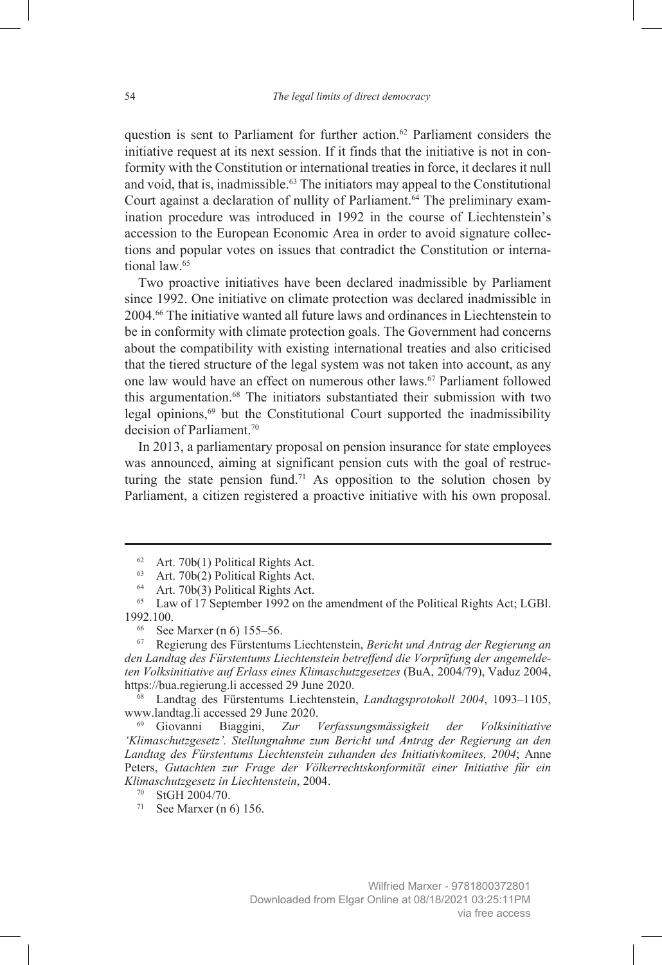question is sent to Parliament for further action.<sup>62</sup> Parliament considers the initiative request at its next session. If it finds that the initiative is not in conformity with the Constitution or international treaties in force, it declares it null and void, that is, inadmissible.63 The initiators may appeal to the Constitutional Court against a declaration of nullity of Parliament.<sup>64</sup> The preliminary examination procedure was introduced in 1992 in the course of Liechtenstein's accession to the European Economic Area in order to avoid signature collections and popular votes on issues that contradict the Constitution or international law.65

Two proactive initiatives have been declared inadmissible by Parliament since 1992. One initiative on climate protection was declared inadmissible in 2004.66 The initiative wanted all future laws and ordinances in Liechtenstein to be in conformity with climate protection goals. The Government had concerns about the compatibility with existing international treaties and also criticised that the tiered structure of the legal system was not taken into account, as any one law would have an effect on numerous other laws.<sup>67</sup> Parliament followed this argumentation.<sup>68</sup> The initiators substantiated their submission with two legal opinions, $69$  but the Constitutional Court supported the inadmissibility decision of Parliament.70

In 2013, a parliamentary proposal on pension insurance for state employees was announced, aiming at significant pension cuts with the goal of restructuring the state pension fund.<sup>71</sup> As opposition to the solution chosen by Parliament, a citizen registered a proactive initiative with his own proposal.

<sup>62</sup> Art. 70b(1) Political Rights Act.

<sup>&</sup>lt;sup>63</sup> Art. 70b(2) Political Rights Act.

<sup>&</sup>lt;sup>64</sup> Art. 70b(3) Political Rights Act.

<sup>&</sup>lt;sup>65</sup> Law of 17 September 1992 on the amendment of the Political Rights Act; LGBl. 1992.100.

<sup>66</sup> See Marxer (n 6) 155–56.

<sup>67</sup> Regierung des Fürstentums Liechtenstein, *Bericht und Antrag der Regierung an den Landtag des Fürstentums Liechtenstein betreffend die Vorprüfung der angemeldeten Volksinitiative auf Erlass eines Klimaschutzgesetzes* (BuA, 2004/79), Vaduz 2004, https://bua.regierung.li accessed 29 June 2020.

<sup>68</sup> Landtag des Fürstentums Liechtenstein, *Landtagsprotokoll 2004*, 1093–1105, www.landtag.li accessed 29 June 2020.

<sup>69</sup> Giovanni Biaggini, *Zur Verfassungsmässigkeit der Volksinitiative 'Klimaschutzgesetz'. Stellungnahme zum Bericht und Antrag der Regierung an den Landtag des Fürstentums Liechtenstein zuhanden des Initiativkomitees, 2004*; Anne Peters, *Gutachten zur Frage der Völkerrechtskonformität einer Initiative für ein Klimaschutzgesetz in Liechtenstein*, 2004.

<sup>70</sup> StGH 2004/70.

<sup>71</sup> See Marxer (n 6) 156.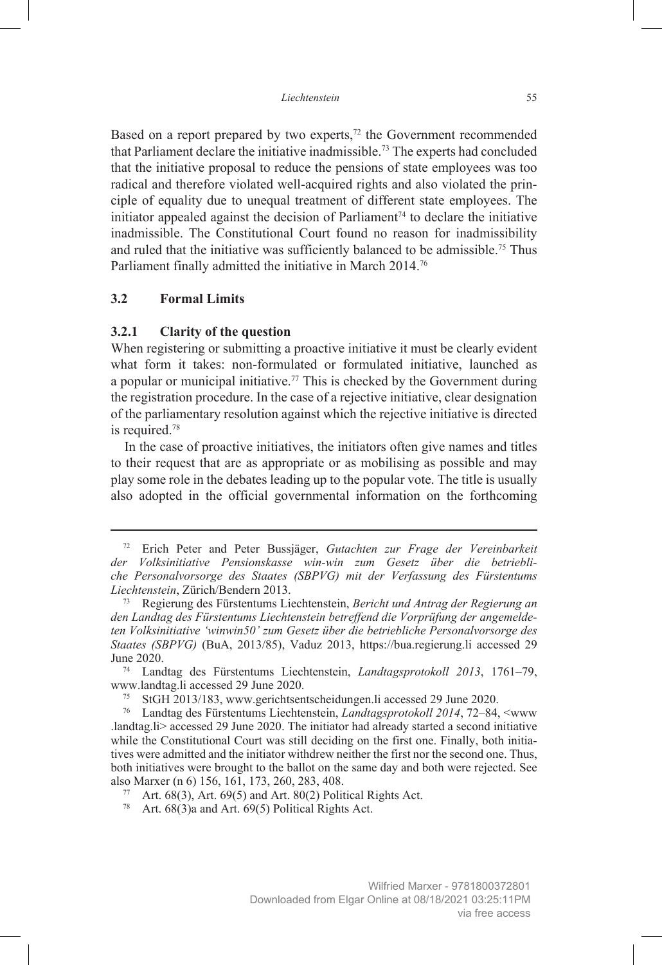Based on a report prepared by two experts,<sup>72</sup> the Government recommended that Parliament declare the initiative inadmissible.73 The experts had concluded that the initiative proposal to reduce the pensions of state employees was too radical and therefore violated well-acquired rights and also violated the principle of equality due to unequal treatment of different state employees. The initiator appealed against the decision of Parliament<sup> $74$ </sup> to declare the initiative inadmissible. The Constitutional Court found no reason for inadmissibility and ruled that the initiative was sufficiently balanced to be admissible.<sup>75</sup> Thus Parliament finally admitted the initiative in March 2014.76

## **3.2 Formal Limits**

#### **3.2.1 Clarity of the question**

When registering or submitting a proactive initiative it must be clearly evident what form it takes: non-formulated or formulated initiative, launched as a popular or municipal initiative.<sup>77</sup> This is checked by the Government during the registration procedure. In the case of a rejective initiative, clear designation of the parliamentary resolution against which the rejective initiative is directed is required.<sup>78</sup>

In the case of proactive initiatives, the initiators often give names and titles to their request that are as appropriate or as mobilising as possible and may play some role in the debates leading up to the popular vote. The title is usually also adopted in the official governmental information on the forthcoming

<sup>72</sup> Erich Peter and Peter Bussjäger, *Gutachten zur Frage der Vereinbarkeit der Volksinitiative Pensionskasse win-win zum Gesetz über die betriebliche Personalvorsorge des Staates (SBPVG) mit der Verfassung des Fürstentums Liechtenstein*, Zürich/Bendern 2013.

<sup>73</sup> Regierung des Fürstentums Liechtenstein, *Bericht und Antrag der Regierung an den Landtag des Fürstentums Liechtenstein betreffend die Vorprüfung der angemeldeten Volksinitiative 'winwin50' zum Gesetz über die betriebliche Personalvorsorge des Staates (SBPVG)* (BuA, 2013/85), Vaduz 2013, https://bua.regierung.li accessed 29 June 2020.

<sup>74</sup> Landtag des Fürstentums Liechtenstein, *Landtagsprotokoll 2013*, 1761–79, www.landtag.li accessed 29 June 2020.

<sup>&</sup>lt;sup>75</sup> StGH 2013/183, www.gerichtsentscheidungen.li accessed 29 June 2020.<br><sup>76</sup> Landtag des Fürstentums Liechtenstein *Landtagsprotokoll* 2014 72–84

<sup>76</sup> Landtag des Fürstentums Liechtenstein, *Landtagsprotokoll 2014*, 72–84, <www .landtag.li> accessed 29 June 2020. The initiator had already started a second initiative while the Constitutional Court was still deciding on the first one. Finally, both initiatives were admitted and the initiator withdrew neither the first nor the second one. Thus, both initiatives were brought to the ballot on the same day and both were rejected. See also Marxer (n 6) 156, 161, 173, 260, 283, 408.

<sup>77</sup> Art.  $68(3)$ , Art.  $69(5)$  and Art.  $80(2)$  Political Rights Act.

<sup>&</sup>lt;sup>78</sup> Art.  $68(3)$ a and Art.  $69(5)$  Political Rights Act.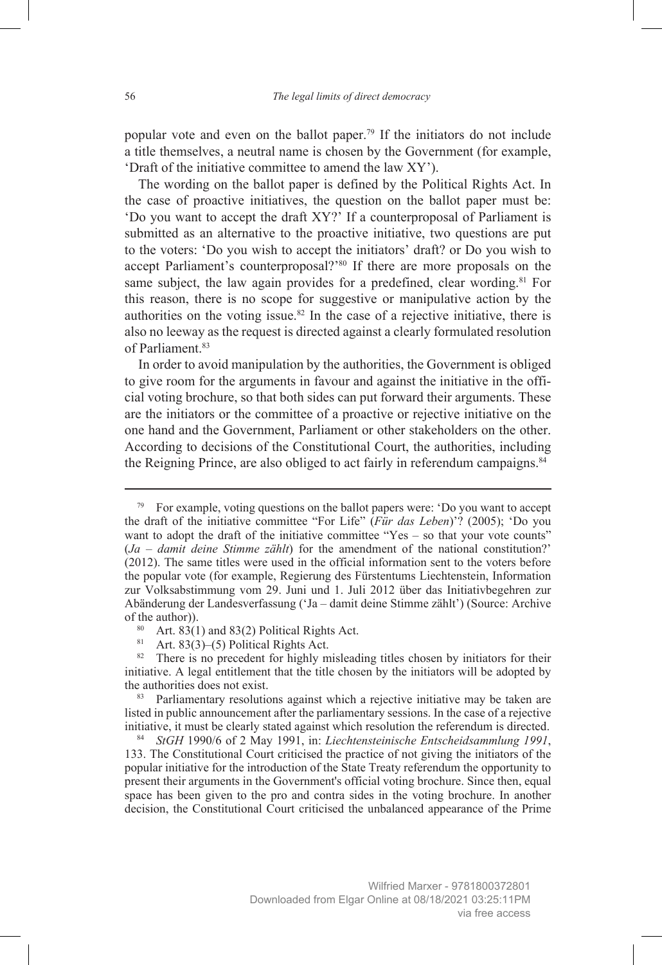popular vote and even on the ballot paper.79 If the initiators do not include a title themselves, a neutral name is chosen by the Government (for example, 'Draft of the initiative committee to amend the law XY').

The wording on the ballot paper is defined by the Political Rights Act. In the case of proactive initiatives, the question on the ballot paper must be: 'Do you want to accept the draft XY?' If a counterproposal of Parliament is submitted as an alternative to the proactive initiative, two questions are put to the voters: 'Do you wish to accept the initiators' draft? or Do you wish to accept Parliament's counterproposal?'80 If there are more proposals on the same subject, the law again provides for a predefined, clear wording.<sup>81</sup> For this reason, there is no scope for suggestive or manipulative action by the authorities on the voting issue.82 In the case of a rejective initiative, there is also no leeway as the request is directed against a clearly formulated resolution of Parliament.<sup>83</sup>

In order to avoid manipulation by the authorities, the Government is obliged to give room for the arguments in favour and against the initiative in the official voting brochure, so that both sides can put forward their arguments. These are the initiators or the committee of a proactive or rejective initiative on the one hand and the Government, Parliament or other stakeholders on the other. According to decisions of the Constitutional Court, the authorities, including the Reigning Prince, are also obliged to act fairly in referendum campaigns.<sup>84</sup>

81 Art.  $83(3)$ –(5) Political Rights Act.

 $79$  For example, voting questions on the ballot papers were: 'Do you want to accept the draft of the initiative committee "For Life" (*Für das Leben*)'? (2005); 'Do you want to adopt the draft of the initiative committee "Yes – so that your vote counts" (*Ja – damit deine Stimme zählt*) for the amendment of the national constitution?' (2012). The same titles were used in the official information sent to the voters before the popular vote (for example, Regierung des Fürstentums Liechtenstein, Information zur Volksabstimmung vom 29. Juni und 1. Juli 2012 über das Initiativbegehren zur Abänderung der Landesverfassung ('Ja – damit deine Stimme zählt') (Source: Archive

<sup>&</sup>lt;sup>80</sup> Art.  $83(1)$  and 83(2) Political Rights Act.

<sup>&</sup>lt;sup>82</sup> There is no precedent for highly misleading titles chosen by initiators for their initiative. A legal entitlement that the title chosen by the initiators will be adopted by the authorities does not exist.

<sup>&</sup>lt;sup>83</sup> Parliamentary resolutions against which a rejective initiative may be taken are listed in public announcement after the parliamentary sessions. In the case of a rejective initiative, it must be clearly stated against which resolution the referendum is directed.

<sup>84</sup> *StGH* 1990/6 of 2 May 1991, in: *Liechtensteinische Entscheidsammlung 1991*, 133. The Constitutional Court criticised the practice of not giving the initiators of the popular initiative for the introduction of the State Treaty referendum the opportunity to present their arguments in the Government's official voting brochure. Since then, equal space has been given to the pro and contra sides in the voting brochure. In another decision, the Constitutional Court criticised the unbalanced appearance of the Prime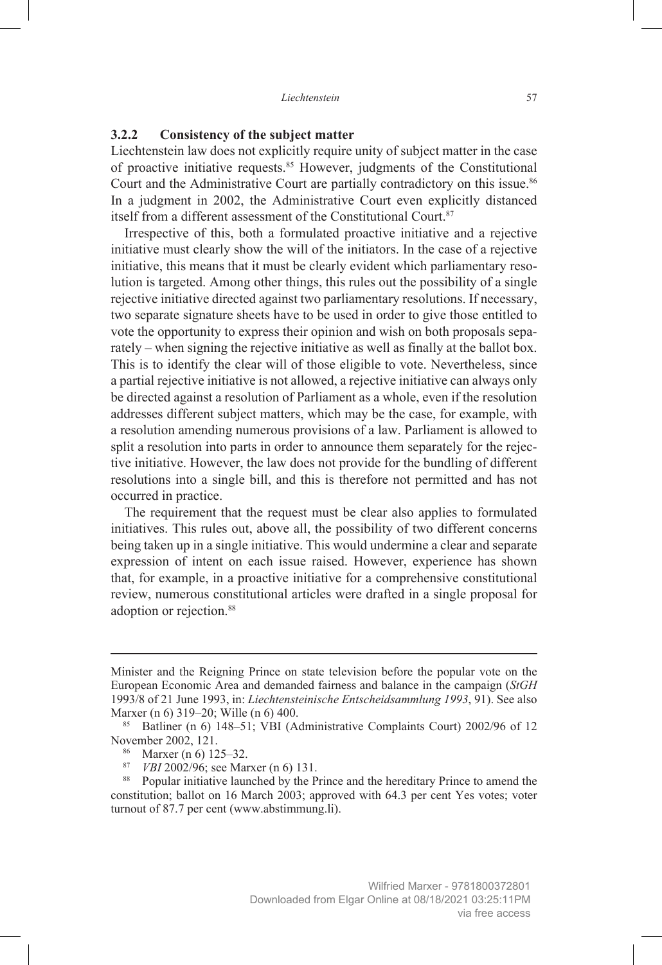#### **3.2.2 Consistency of the subject matter**

Liechtenstein law does not explicitly require unity of subject matter in the case of proactive initiative requests.85 However, judgments of the Constitutional Court and the Administrative Court are partially contradictory on this issue.<sup>86</sup> In a judgment in 2002, the Administrative Court even explicitly distanced itself from a different assessment of the Constitutional Court.<sup>87</sup>

Irrespective of this, both a formulated proactive initiative and a rejective initiative must clearly show the will of the initiators. In the case of a rejective initiative, this means that it must be clearly evident which parliamentary resolution is targeted. Among other things, this rules out the possibility of a single rejective initiative directed against two parliamentary resolutions. If necessary, two separate signature sheets have to be used in order to give those entitled to vote the opportunity to express their opinion and wish on both proposals separately – when signing the rejective initiative as well as finally at the ballot box. This is to identify the clear will of those eligible to vote. Nevertheless, since a partial rejective initiative is not allowed, a rejective initiative can always only be directed against a resolution of Parliament as a whole, even if the resolution addresses different subject matters, which may be the case, for example, with a resolution amending numerous provisions of a law. Parliament is allowed to split a resolution into parts in order to announce them separately for the rejective initiative. However, the law does not provide for the bundling of different resolutions into a single bill, and this is therefore not permitted and has not occurred in practice.

The requirement that the request must be clear also applies to formulated initiatives. This rules out, above all, the possibility of two different concerns being taken up in a single initiative. This would undermine a clear and separate expression of intent on each issue raised. However, experience has shown that, for example, in a proactive initiative for a comprehensive constitutional review, numerous constitutional articles were drafted in a single proposal for adoption or rejection.<sup>88</sup>

Minister and the Reigning Prince on state television before the popular vote on the European Economic Area and demanded fairness and balance in the campaign (*StGH* 1993/8 of 21 June 1993, in: *Liechtensteinische Entscheidsammlung 1993*, 91). See also Marxer (n 6) 319–20; Wille (n 6) 400.

<sup>85</sup> Batliner (n 6) 148–51; VBI (Administrative Complaints Court) 2002/96 of 12 November 2002, 121.

<sup>&</sup>lt;sup>86</sup> Marxer (n 6) 125–32.<br><sup>87</sup> *VBI* 2002/96; see Marxer (n 6) 131.

<sup>&</sup>lt;sup>88</sup> Popular initiative launched by the Prince and the hereditary Prince to amend the constitution; ballot on 16 March 2003; approved with 64.3 per cent Yes votes; voter turnout of 87.7 per cent (www.abstimmung.li).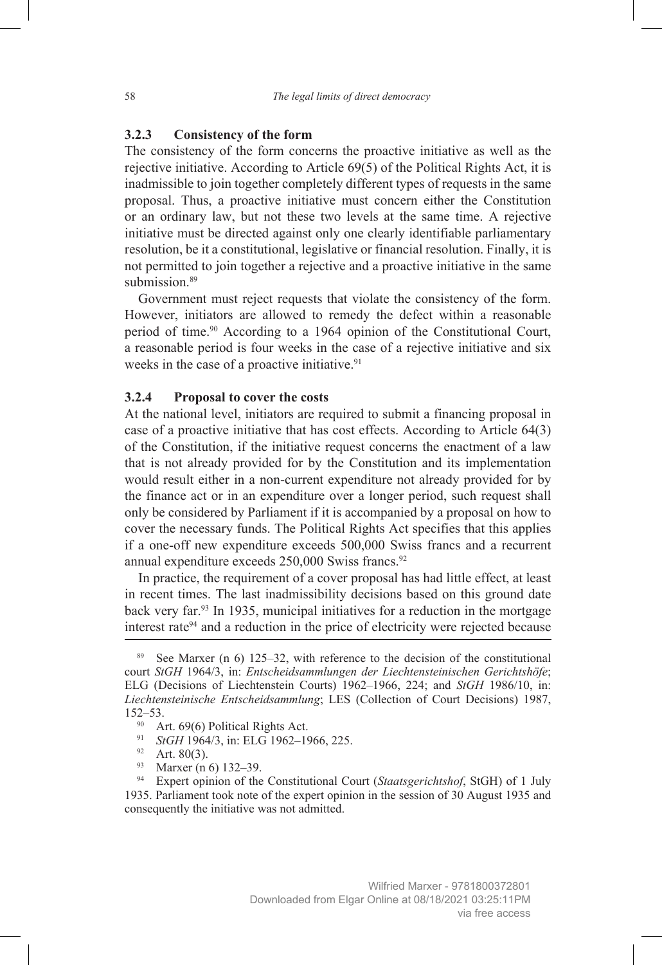#### **3.2.3 Consistency of the form**

The consistency of the form concerns the proactive initiative as well as the rejective initiative. According to Article 69(5) of the Political Rights Act, it is inadmissible to join together completely different types of requests in the same proposal. Thus, a proactive initiative must concern either the Constitution or an ordinary law, but not these two levels at the same time. A rejective initiative must be directed against only one clearly identifiable parliamentary resolution, be it a constitutional, legislative or financial resolution. Finally, it is not permitted to join together a rejective and a proactive initiative in the same submission.<sup>89</sup>

Government must reject requests that violate the consistency of the form. However, initiators are allowed to remedy the defect within a reasonable period of time.<sup>90</sup> According to a 1964 opinion of the Constitutional Court, a reasonable period is four weeks in the case of a rejective initiative and six weeks in the case of a proactive initiative.<sup>91</sup>

#### **3.2.4 Proposal to cover the costs**

At the national level, initiators are required to submit a financing proposal in case of a proactive initiative that has cost effects. According to Article 64(3) of the Constitution, if the initiative request concerns the enactment of a law that is not already provided for by the Constitution and its implementation would result either in a non-current expenditure not already provided for by the finance act or in an expenditure over a longer period, such request shall only be considered by Parliament if it is accompanied by a proposal on how to cover the necessary funds. The Political Rights Act specifies that this applies if a one-off new expenditure exceeds 500,000 Swiss francs and a recurrent annual expenditure exceeds  $250,000$  Swiss francs.<sup>92</sup>

In practice, the requirement of a cover proposal has had little effect, at least in recent times. The last inadmissibility decisions based on this ground date back very far.<sup>93</sup> In 1935, municipal initiatives for a reduction in the mortgage interest rate $94$  and a reduction in the price of electricity were rejected because

See Marxer (n  $6$ ) 125–32, with reference to the decision of the constitutional court *StGH* 1964/3, in: *Entscheidsammlungen der Liechtensteinischen Gerichtshöfe*; ELG (Decisions of Liechtenstein Courts) 1962–1966, 224; and *StGH* 1986/10, in: *Liechtensteinische Entscheidsammlung*; LES (Collection of Court Decisions) 1987, 152–53.<br><sup>90</sup> Art. 69(6) Political Rights Act.

<sup>&</sup>lt;sup>91</sup> StGH 1964/3, in: ELG 1962-1966, 225.

 $92$  Art. 80(3).

<sup>&</sup>lt;sup>93</sup> Marxer (n 6) 132–39.<br><sup>94</sup> Expert opinion of the

<sup>94</sup> Expert opinion of the Constitutional Court (*Staatsgerichtshof*, StGH) of 1 July 1935. Parliament took note of the expert opinion in the session of 30 August 1935 and consequently the initiative was not admitted.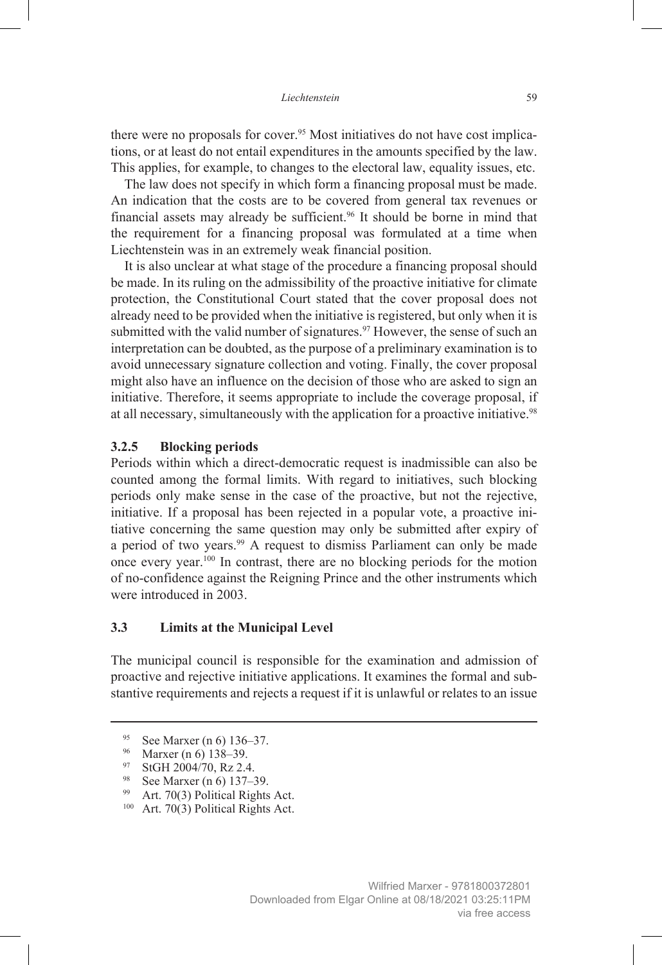there were no proposals for cover.95 Most initiatives do not have cost implications, or at least do not entail expenditures in the amounts specified by the law. This applies, for example, to changes to the electoral law, equality issues, etc.

The law does not specify in which form a financing proposal must be made. An indication that the costs are to be covered from general tax revenues or financial assets may already be sufficient.<sup>96</sup> It should be borne in mind that the requirement for a financing proposal was formulated at a time when Liechtenstein was in an extremely weak financial position.

It is also unclear at what stage of the procedure a financing proposal should be made. In its ruling on the admissibility of the proactive initiative for climate protection, the Constitutional Court stated that the cover proposal does not already need to be provided when the initiative is registered, but only when it is submitted with the valid number of signatures.<sup>97</sup> However, the sense of such an interpretation can be doubted, as the purpose of a preliminary examination is to avoid unnecessary signature collection and voting. Finally, the cover proposal might also have an influence on the decision of those who are asked to sign an initiative. Therefore, it seems appropriate to include the coverage proposal, if at all necessary, simultaneously with the application for a proactive initiative.<sup>98</sup>

#### **3.2.5 Blocking periods**

Periods within which a direct-democratic request is inadmissible can also be counted among the formal limits. With regard to initiatives, such blocking periods only make sense in the case of the proactive, but not the rejective, initiative. If a proposal has been rejected in a popular vote, a proactive initiative concerning the same question may only be submitted after expiry of a period of two years.<sup>99</sup> A request to dismiss Parliament can only be made once every year.100 In contrast, there are no blocking periods for the motion of no-confidence against the Reigning Prince and the other instruments which were introduced in 2003.

## **3.3 Limits at the Municipal Level**

The municipal council is responsible for the examination and admission of proactive and rejective initiative applications. It examines the formal and substantive requirements and rejects a request if it is unlawful or relates to an issue

- <sup>99</sup> Art. 70(3) Political Rights Act.
- <sup>100</sup> Art. 70(3) Political Rights Act.

<sup>95</sup> See Marxer (n 6) 136–37.

<sup>96</sup> Marxer (n 6) 138–39.

<sup>97</sup> StGH 2004/70, Rz 2.4.

<sup>98</sup> See Marxer (n 6) 137–39.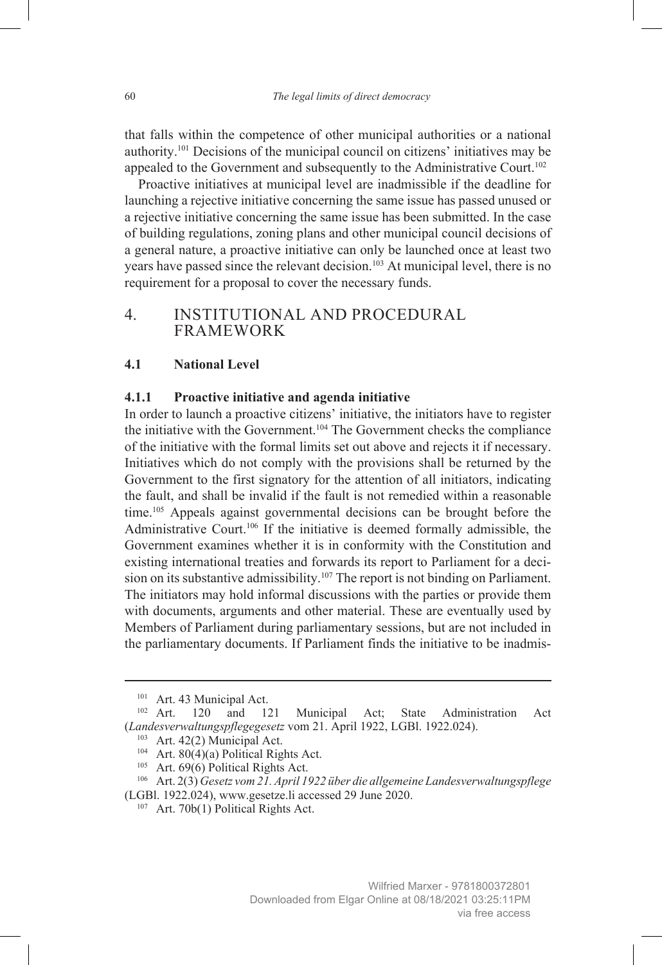that falls within the competence of other municipal authorities or a national authority.101 Decisions of the municipal council on citizens' initiatives may be appealed to the Government and subsequently to the Administrative Court.<sup>102</sup>

Proactive initiatives at municipal level are inadmissible if the deadline for launching a rejective initiative concerning the same issue has passed unused or a rejective initiative concerning the same issue has been submitted. In the case of building regulations, zoning plans and other municipal council decisions of a general nature, a proactive initiative can only be launched once at least two years have passed since the relevant decision.103 At municipal level, there is no requirement for a proposal to cover the necessary funds.

# 4. INSTITUTIONAL AND PROCEDURAL FRAMEWORK

#### **4.1 National Level**

#### **4.1.1 Proactive initiative and agenda initiative**

In order to launch a proactive citizens' initiative, the initiators have to register the initiative with the Government.<sup>104</sup> The Government checks the compliance of the initiative with the formal limits set out above and rejects it if necessary. Initiatives which do not comply with the provisions shall be returned by the Government to the first signatory for the attention of all initiators, indicating the fault, and shall be invalid if the fault is not remedied within a reasonable time.<sup>105</sup> Appeals against governmental decisions can be brought before the Administrative Court.<sup>106</sup> If the initiative is deemed formally admissible, the Government examines whether it is in conformity with the Constitution and existing international treaties and forwards its report to Parliament for a decision on its substantive admissibility.<sup>107</sup> The report is not binding on Parliament. The initiators may hold informal discussions with the parties or provide them with documents, arguments and other material. These are eventually used by Members of Parliament during parliamentary sessions, but are not included in the parliamentary documents. If Parliament finds the initiative to be inadmis-

<sup>101</sup> Art. 43 Municipal Act.

<sup>&</sup>lt;sup>102</sup> Art. 120 and 121 Municipal Act; State Administration Act (*Landesverwaltungspflegegesetz* vom 21. April 1922, LGBl. 1922.024).

<sup>&</sup>lt;sup>103</sup> Art. 42(2) Municipal Act.

<sup>&</sup>lt;sup>104</sup> Art. 80(4)(a) Political Rights Act.<br><sup>105</sup> Art. 69(6) Political Rights Act.

<sup>&</sup>lt;sup>106</sup> Art. 2(3) *Gesetz vom 21. April 1922 über die allgemeine Landesverwaltungspflege* (LGBl. 1922.024), www.gesetze.li accessed 29 June 2020.

<sup>&</sup>lt;sup>107</sup> Art. 70b(1) Political Rights Act.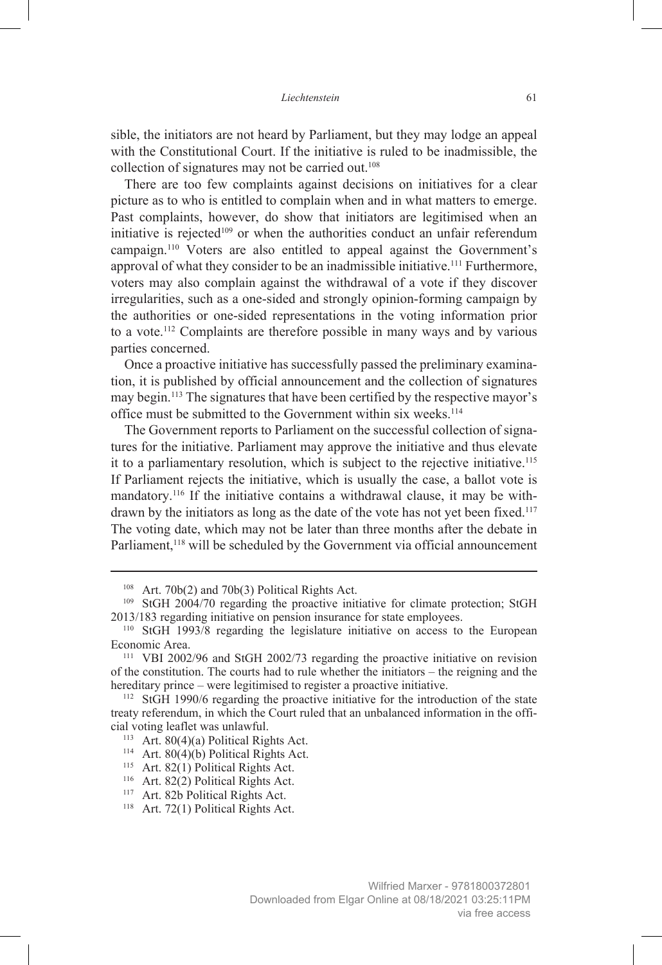sible, the initiators are not heard by Parliament, but they may lodge an appeal with the Constitutional Court. If the initiative is ruled to be inadmissible, the collection of signatures may not be carried out.<sup>108</sup>

There are too few complaints against decisions on initiatives for a clear picture as to who is entitled to complain when and in what matters to emerge. Past complaints, however, do show that initiators are legitimised when an initiative is rejected<sup>109</sup> or when the authorities conduct an unfair referendum campaign.110 Voters are also entitled to appeal against the Government's approval of what they consider to be an inadmissible initiative.111 Furthermore, voters may also complain against the withdrawal of a vote if they discover irregularities, such as a one-sided and strongly opinion-forming campaign by the authorities or one-sided representations in the voting information prior to a vote.112 Complaints are therefore possible in many ways and by various parties concerned.

Once a proactive initiative has successfully passed the preliminary examination, it is published by official announcement and the collection of signatures may begin.113 The signatures that have been certified by the respective mayor's office must be submitted to the Government within six weeks.114

The Government reports to Parliament on the successful collection of signatures for the initiative. Parliament may approve the initiative and thus elevate it to a parliamentary resolution, which is subject to the rejective initiative.<sup>115</sup> If Parliament rejects the initiative, which is usually the case, a ballot vote is mandatory.<sup>116</sup> If the initiative contains a withdrawal clause, it may be withdrawn by the initiators as long as the date of the vote has not yet been fixed.<sup>117</sup> The voting date, which may not be later than three months after the debate in Parliament,<sup>118</sup> will be scheduled by the Government via official announcement

<sup>114</sup> Art. 80(4)(b) Political Rights Act.

 $108$  Art. 70b(2) and 70b(3) Political Rights Act.

<sup>&</sup>lt;sup>109</sup> StGH 2004/70 regarding the proactive initiative for climate protection; StGH  $2013/183$  regarding initiative on pension insurance for state employees.

<sup>&</sup>lt;sup>110</sup> StGH 1993/8 regarding the legislature initiative on access to the European Economic Area.

<sup>111</sup> VBI 2002/96 and StGH 2002/73 regarding the proactive initiative on revision of the constitution. The courts had to rule whether the initiators – the reigning and the hereditary prince – were legitimised to register a proactive initiative.

<sup>112</sup> StGH 1990/6 regarding the proactive initiative for the introduction of the state treaty referendum, in which the Court ruled that an unbalanced information in the official voting leaflet was unlawful.

<sup>113</sup> Art. 80(4)(a) Political Rights Act.

<sup>&</sup>lt;sup>115</sup> Art. 82(1) Political Rights Act.

<sup>&</sup>lt;sup>116</sup> Art. 82(2) Political Rights Act.

<sup>&</sup>lt;sup>117</sup> Art. 82b Political Rights Act.

<sup>&</sup>lt;sup>118</sup> Art. 72(1) Political Rights Act.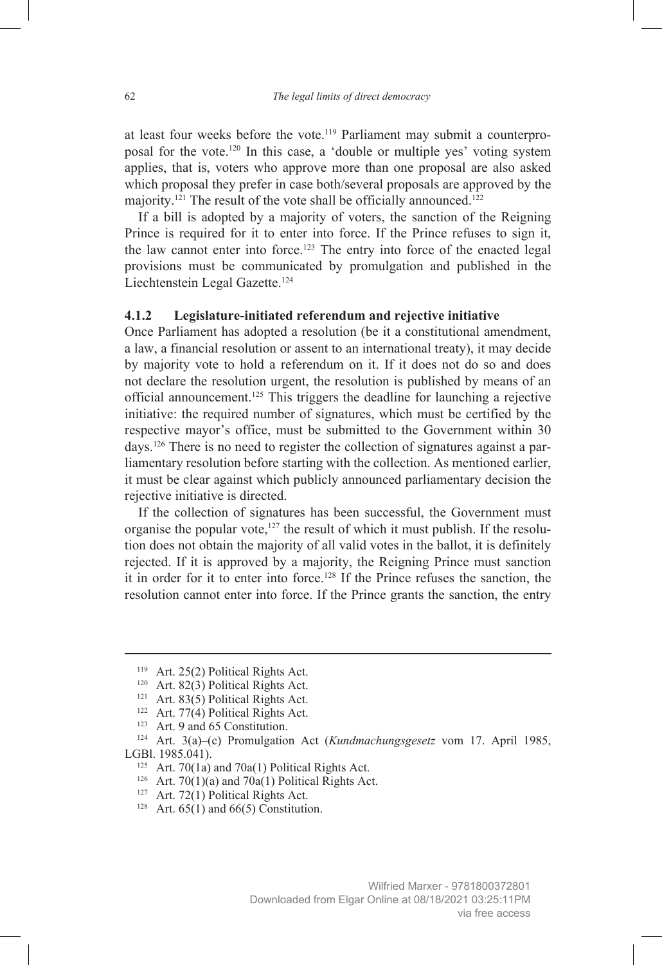at least four weeks before the vote.119 Parliament may submit a counterproposal for the vote.120 In this case, a 'double or multiple yes' voting system applies, that is, voters who approve more than one proposal are also asked which proposal they prefer in case both/several proposals are approved by the majority.<sup>121</sup> The result of the vote shall be officially announced.<sup>122</sup>

If a bill is adopted by a majority of voters, the sanction of the Reigning Prince is required for it to enter into force. If the Prince refuses to sign it, the law cannot enter into force.<sup>123</sup> The entry into force of the enacted legal provisions must be communicated by promulgation and published in the Liechtenstein Legal Gazette.124

#### **4.1.2 Legislature-initiated referendum and rejective initiative**

Once Parliament has adopted a resolution (be it a constitutional amendment, a law, a financial resolution or assent to an international treaty), it may decide by majority vote to hold a referendum on it. If it does not do so and does not declare the resolution urgent, the resolution is published by means of an official announcement.125 This triggers the deadline for launching a rejective initiative: the required number of signatures, which must be certified by the respective mayor's office, must be submitted to the Government within 30 days.126 There is no need to register the collection of signatures against a parliamentary resolution before starting with the collection. As mentioned earlier, it must be clear against which publicly announced parliamentary decision the rejective initiative is directed.

If the collection of signatures has been successful, the Government must organise the popular vote,<sup>127</sup> the result of which it must publish. If the resolution does not obtain the majority of all valid votes in the ballot, it is definitely rejected. If it is approved by a majority, the Reigning Prince must sanction it in order for it to enter into force.<sup>128</sup> If the Prince refuses the sanction, the resolution cannot enter into force. If the Prince grants the sanction, the entry

<sup>&</sup>lt;sup>119</sup> Art. 25(2) Political Rights Act.

<sup>&</sup>lt;sup>120</sup> Art. 82(3) Political Rights Act.

<sup>&</sup>lt;sup>121</sup> Art. 83(5) Political Rights Act.

<sup>&</sup>lt;sup>122</sup> Art. 77(4) Political Rights Act.

<sup>123</sup> Art. 9 and 65 Constitution.

<sup>124</sup> Art. 3(a)–(c) Promulgation Act (*Kundmachungsgesetz* vom 17. April 1985, LGBl. 1985.041).

<sup>&</sup>lt;sup>125</sup> Art. 70(1a) and 70a(1) Political Rights Act.

<sup>&</sup>lt;sup>126</sup> Art. 70(1)(a) and 70a(1) Political Rights Act.

<sup>&</sup>lt;sup>127</sup> Art. 72(1) Political Rights Act.

<sup>&</sup>lt;sup>128</sup> Art.  $65(1)$  and  $66(5)$  Constitution.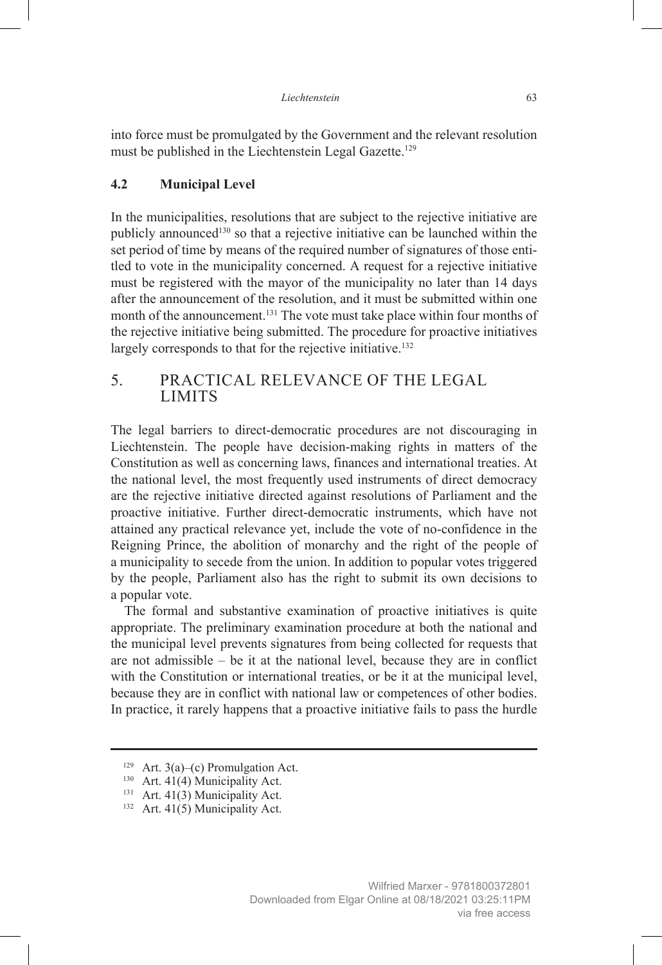into force must be promulgated by the Government and the relevant resolution must be published in the Liechtenstein Legal Gazette.<sup>129</sup>

#### **4.2 Municipal Level**

In the municipalities, resolutions that are subject to the rejective initiative are publicly announced130 so that a rejective initiative can be launched within the set period of time by means of the required number of signatures of those entitled to vote in the municipality concerned. A request for a rejective initiative must be registered with the mayor of the municipality no later than 14 days after the announcement of the resolution, and it must be submitted within one month of the announcement.<sup>131</sup> The vote must take place within four months of the rejective initiative being submitted. The procedure for proactive initiatives largely corresponds to that for the rejective initiative.<sup>132</sup>

# 5. PRACTICAL RELEVANCE OF THE LEGAL LIMITS

The legal barriers to direct-democratic procedures are not discouraging in Liechtenstein. The people have decision-making rights in matters of the Constitution as well as concerning laws, finances and international treaties. At the national level, the most frequently used instruments of direct democracy are the rejective initiative directed against resolutions of Parliament and the proactive initiative. Further direct-democratic instruments, which have not attained any practical relevance yet, include the vote of no-confidence in the Reigning Prince, the abolition of monarchy and the right of the people of a municipality to secede from the union. In addition to popular votes triggered by the people, Parliament also has the right to submit its own decisions to a popular vote.

The formal and substantive examination of proactive initiatives is quite appropriate. The preliminary examination procedure at both the national and the municipal level prevents signatures from being collected for requests that are not admissible – be it at the national level, because they are in conflict with the Constitution or international treaties, or be it at the municipal level. because they are in conflict with national law or competences of other bodies. In practice, it rarely happens that a proactive initiative fails to pass the hurdle

<sup>&</sup>lt;sup>129</sup> Art. 3(a)–(c) Promulgation Act.

<sup>&</sup>lt;sup>130</sup> Art. 41(4) Municipality Act.

<sup>&</sup>lt;sup>131</sup> Art. 41(3) Municipality Act.

<sup>&</sup>lt;sup>132</sup> Art. 41(5) Municipality Act.